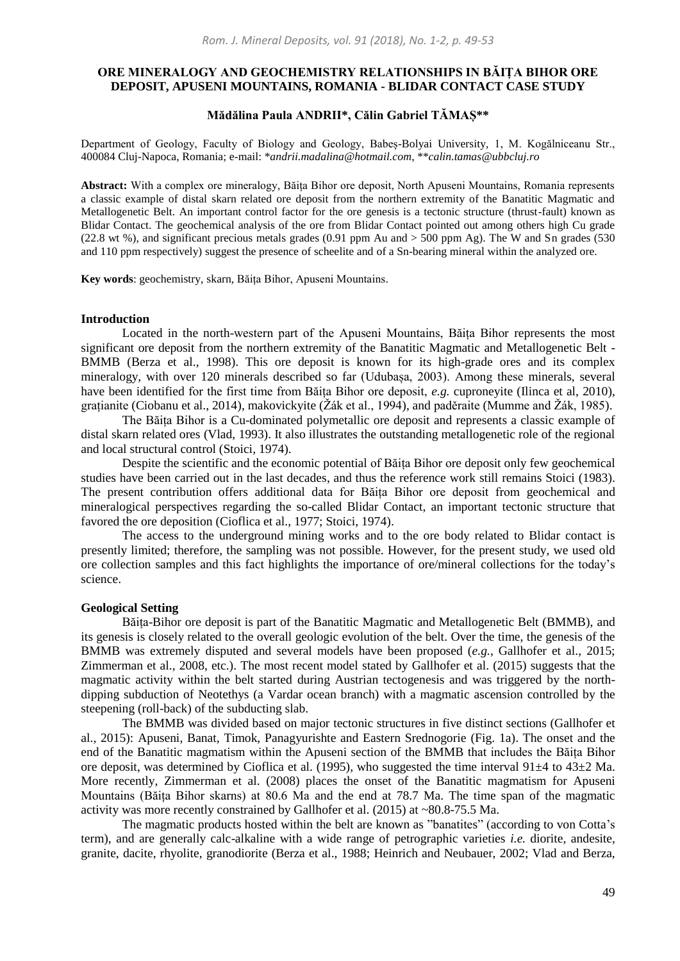# **ORE MINERALOGY AND GEOCHEMISTRY RELATIONSHIPS IN BĂIȚA BIHOR ORE DEPOSIT, APUSENI MOUNTAINS, ROMANIA - BLIDAR CONTACT CASE STUDY**

# **Mădălina Paula ANDRII\*, Călin Gabriel TĂMAȘ\*\***

Department of Geology, Faculty of Biology and Geology, Babeș-Bolyai University, 1, M. Kogălniceanu Str., 400084 Cluj-Napoca, Romania; e-mail: \**andrii.madalina@hotmail.com*, \*\**calin.tamas@ubbcluj.ro*

**Abstract:** With a complex ore mineralogy, Băița Bihor ore deposit, North Apuseni Mountains, Romania represents a classic example of distal skarn related ore deposit from the northern extremity of the Banatitic Magmatic and Metallogenetic Belt. An important control factor for the ore genesis is a tectonic structure (thrust-fault) known as Blidar Contact. The geochemical analysis of the ore from Blidar Contact pointed out among others high Cu grade (22.8 wt %), and significant precious metals grades (0.91 ppm Au and > 500 ppm Ag). The W and Sn grades (530 and 110 ppm respectively) suggest the presence of scheelite and of a Sn-bearing mineral within the analyzed ore.

**Key words**: geochemistry, skarn, Băița Bihor, Apuseni Mountains.

#### **Introduction**

Located in the north-western part of the Apuseni Mountains, Băița Bihor represents the most significant ore deposit from the northern extremity of the Banatitic Magmatic and Metallogenetic Belt - BMMB (Berza et al., 1998). This ore deposit is known for its high-grade ores and its complex mineralogy, with over 120 minerals described so far (Udubașa, 2003). Among these minerals, several have been identified for the first time from Băița Bihor ore deposit, *e.g.* cuproneyite (Ilinca et al, 2010), grațianite (Ciobanu et al., 2014), makovickyite (Žák et al., 1994), and paděraite (Mumme and Žák, 1985).

The Băița Bihor is a Cu-dominated polymetallic ore deposit and represents a classic example of distal skarn related ores (Vlad, 1993). It also illustrates the outstanding metallogenetic role of the regional and local structural control (Stoici, 1974).

Despite the scientific and the economic potential of Băița Bihor ore deposit only few geochemical studies have been carried out in the last decades, and thus the reference work still remains Stoici (1983). The present contribution offers additional data for Băița Bihor ore deposit from geochemical and mineralogical perspectives regarding the so-called Blidar Contact, an important tectonic structure that favored the ore deposition (Cioflica et al., 1977; Stoici, 1974).

The access to the underground mining works and to the ore body related to Blidar contact is presently limited; therefore, the sampling was not possible. However, for the present study, we used old ore collection samples and this fact highlights the importance of ore/mineral collections for the today's science.

### **Geological Setting**

Băița-Bihor ore deposit is part of the Banatitic Magmatic and Metallogenetic Belt (BMMB), and its genesis is closely related to the overall geologic evolution of the belt. Over the time, the genesis of the BMMB was extremely disputed and several models have been proposed (*e.g.*, Gallhofer et al., 2015; Zimmerman et al., 2008, etc.). The most recent model stated by Gallhofer et al. (2015) suggests that the magmatic activity within the belt started during Austrian tectogenesis and was triggered by the northdipping subduction of Neotethys (a Vardar ocean branch) with a magmatic ascension controlled by the steepening (roll-back) of the subducting slab.

The BMMB was divided based on major tectonic structures in five distinct sections (Gallhofer et al., 2015): Apuseni, Banat, Timok, Panagyurishte and Eastern Srednogorie (Fig. 1a). The onset and the end of the Banatitic magmatism within the Apuseni section of the BMMB that includes the Băița Bihor ore deposit, was determined by Cioflica et al. (1995), who suggested the time interval 91±4 to 43±2 Ma. More recently, Zimmerman et al. (2008) places the onset of the Banatitic magmatism for Apuseni Mountains (Băița Bihor skarns) at 80.6 Ma and the end at 78.7 Ma. The time span of the magmatic activity was more recently constrained by Gallhofer et al.  $(2015)$  at  $\sim 80.8-75.5$  Ma.

The magmatic products hosted within the belt are known as "banatites" (according to von Cotta's term), and are generally calc-alkaline with a wide range of petrographic varieties *i.e.* diorite, andesite*,* granite, dacite, rhyolite, granodiorite (Berza et al., 1988; Heinrich and Neubauer, 2002; Vlad and Berza,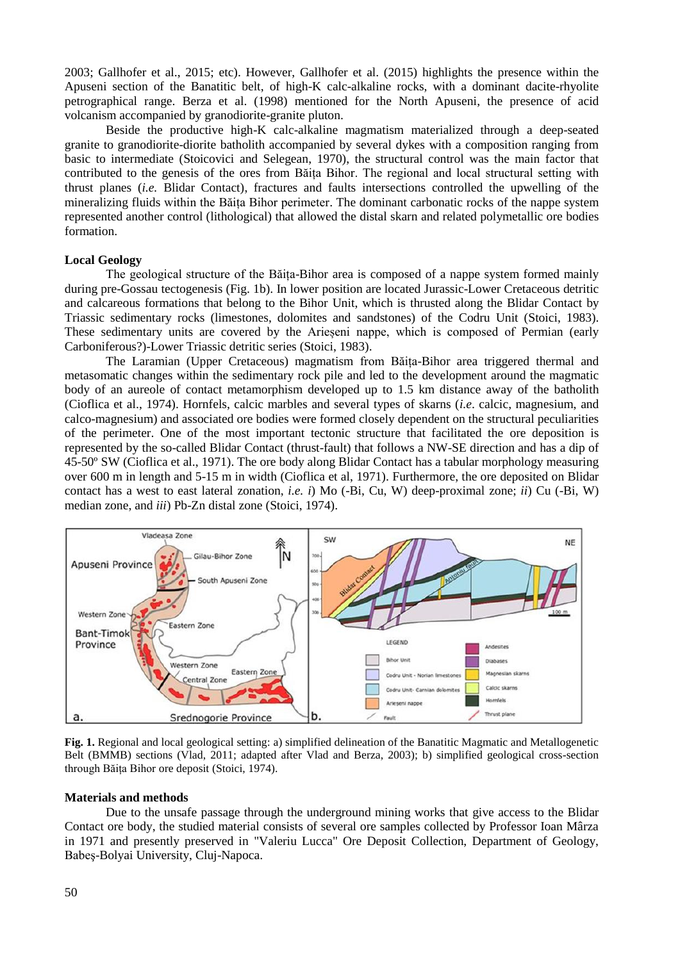2003; Gallhofer et al., 2015; etc). However, Gallhofer et al. (2015) highlights the presence within the Apuseni section of the Banatitic belt, of high-K calc-alkaline rocks, with a dominant dacite-rhyolite petrographical range. Berza et al. (1998) mentioned for the North Apuseni, the presence of acid volcanism accompanied by granodiorite-granite pluton.

Beside the productive high-K calc-alkaline magmatism materialized through a deep-seated granite to granodiorite-diorite batholith accompanied by several dykes with a composition ranging from basic to intermediate (Stoicovici and Selegean, 1970), the structural control was the main factor that contributed to the genesis of the ores from Băița Bihor. The regional and local structural setting with thrust planes (*i.e.* Blidar Contact), fractures and faults intersections controlled the upwelling of the mineralizing fluids within the Băița Bihor perimeter. The dominant carbonatic rocks of the nappe system represented another control (lithological) that allowed the distal skarn and related polymetallic ore bodies formation.

## **Local Geology**

The geological structure of the Băița-Bihor area is composed of a nappe system formed mainly during pre-Gossau tectogenesis (Fig. 1b). In lower position are located Jurassic-Lower Cretaceous detritic and calcareous formations that belong to the Bihor Unit, which is thrusted along the Blidar Contact by Triassic sedimentary rocks (limestones, dolomites and sandstones) of the Codru Unit (Stoici, 1983). These sedimentary units are covered by the Arieșeni nappe, which is composed of Permian (early Carboniferous?)-Lower Triassic detritic series (Stoici, 1983).

The Laramian (Upper Cretaceous) magmatism from Băița-Bihor area triggered thermal and metasomatic changes within the sedimentary rock pile and led to the development around the magmatic body of an aureole of contact metamorphism developed up to 1.5 km distance away of the batholith (Cioflica et al., 1974). Hornfels, calcic marbles and several types of skarns (*i.e*. calcic, magnesium, and calco-magnesium) and associated ore bodies were formed closely dependent on the structural peculiarities of the perimeter. One of the most important tectonic structure that facilitated the ore deposition is represented by the so-called Blidar Contact (thrust-fault) that follows a NW-SE direction and has a dip of 45-50º SW (Cioflica et al., 1971). The ore body along Blidar Contact has a tabular morphology measuring over 600 m in length and 5-15 m in width (Cioflica et al, 1971). Furthermore, the ore deposited on Blidar contact has a west to east lateral zonation, *i.e. i*) Mo (-Bi, Cu, W) deep-proximal zone; *ii*) Cu (-Bi, W) median zone, and *iii*) Pb-Zn distal zone (Stoici, 1974).



**Fig. 1.** Regional and local geological setting: a) simplified delineation of the Banatitic Magmatic and Metallogenetic Belt (BMMB) sections (Vlad, 2011; adapted after Vlad and Berza, 2003); b) simplified geological cross-section through Băița Bihor ore deposit (Stoici, 1974).

#### **Materials and methods**

Due to the unsafe passage through the underground mining works that give access to the Blidar Contact ore body, the studied material consists of several ore samples collected by Professor Ioan Mârza in 1971 and presently preserved in "Valeriu Lucca" Ore Deposit Collection, Department of Geology, Babeş-Bolyai University, Cluj-Napoca.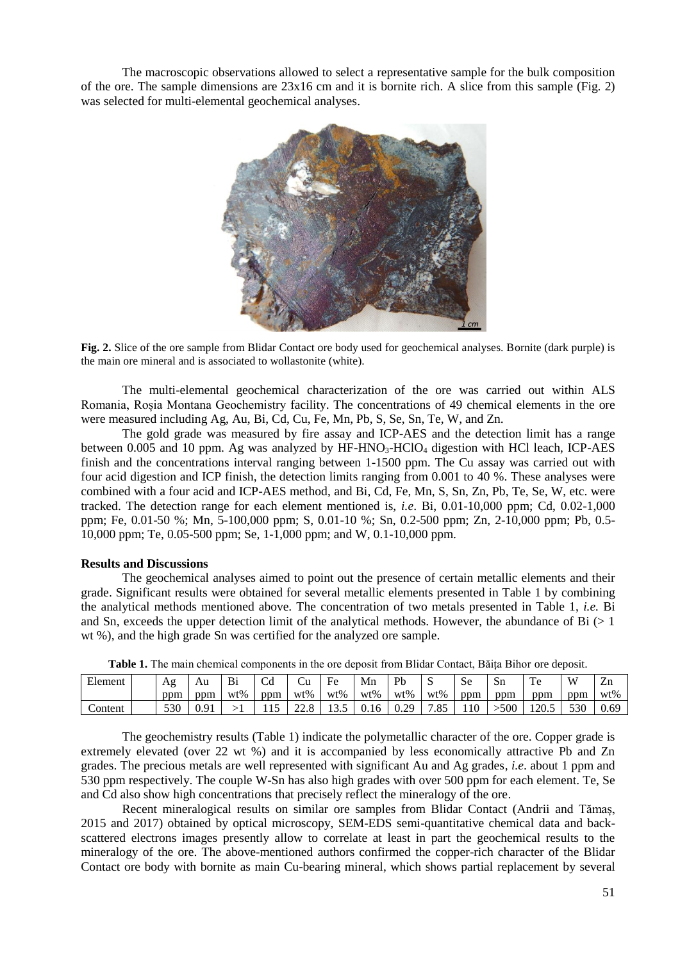The macroscopic observations allowed to select a representative sample for the bulk composition of the ore. The sample dimensions are  $23x16$  cm and it is bornite rich. A slice from this sample (Fig. 2) was selected for multi-elemental geochemical analyses.



**Fig. 2.** Slice of the ore sample from Blidar Contact ore body used for geochemical analyses. Bornite (dark purple) is the main ore mineral and is associated to wollastonite (white).

The multi-elemental geochemical characterization of the ore was carried out within ALS Romania, Roșia Montana Geochemistry facility. The concentrations of 49 chemical elements in the ore were measured including Ag, Au, Bi, Cd, Cu, Fe, Mn, Pb, S, Se, Sn, Te, W, and Zn.

The gold grade was measured by fire assay and ICP-AES and the detection limit has a range between  $0.005$  and 10 ppm. Ag was analyzed by HF-HNO<sub>3</sub>-HClO<sub>4</sub> digestion with HCl leach, ICP-AES finish and the concentrations interval ranging between 1-1500 ppm. The Cu assay was carried out with four acid digestion and ICP finish, the detection limits ranging from 0.001 to 40 %. These analyses were combined with a four acid and ICP-AES method, and Bi, Cd, Fe, Mn, S, Sn, Zn, Pb, Te, Se, W, etc. were tracked. The detection range for each element mentioned is, *i.e*. Bi, 0.01-10,000 ppm; Cd, 0.02-1,000 ppm; Fe, 0.01-50 %; Mn, 5-100,000 ppm; S, 0.01-10 %; Sn, 0.2-500 ppm; Zn, 2-10,000 ppm; Pb, 0.5- 10,000 ppm; Te, 0.05-500 ppm; Se, 1-1,000 ppm; and W, 0.1-10,000 ppm.

## **Results and Discussions**

The geochemical analyses aimed to point out the presence of certain metallic elements and their grade. Significant results were obtained for several metallic elements presented in Table 1 by combining the analytical methods mentioned above. The concentration of two metals presented in Table 1, *i.e.* Bi and Sn, exceeds the upper detection limit of the analytical methods. However, the abundance of  $Bi$  ( $>1$ ) wt %), and the high grade Sn was certified for the analyzed ore sample.

| Element |  | Ag  | Au  | Bi     |     | Cu  | Fe    | Mn          | Pb   |     | <b>Se</b> | Sn  | $\mathbf{r}$ | $\mathbf{W}$ | Zn   |
|---------|--|-----|-----|--------|-----|-----|-------|-------------|------|-----|-----------|-----|--------------|--------------|------|
|         |  | ppm | ppm | $wt\%$ | ppm | wt% | wt%   | wt%         | wt%  | wt% | ppm       | ppm | ppm          | ppm          | wt%  |
| `ontent |  | 530 | 191 |        |     |     | ن د ب | <u>0.16</u> | 0.29 | .85 | .10       | 500 |              | 530          | 0.69 |

**Table 1.** The main chemical components in the ore deposit from Blidar Contact, Băița Bihor ore deposit.

The geochemistry results (Table 1) indicate the polymetallic character of the ore. Copper grade is extremely elevated (over 22 wt %) and it is accompanied by less economically attractive Pb and Zn grades. The precious metals are well represented with significant Au and Ag grades, *i.e*. about 1 ppm and 530 ppm respectively. The couple W-Sn has also high grades with over 500 ppm for each element. Te, Se and Cd also show high concentrations that precisely reflect the mineralogy of the ore.

Recent mineralogical results on similar ore samples from Blidar Contact (Andrii and Tămaș, 2015 and 2017) obtained by optical microscopy, SEM-EDS semi-quantitative chemical data and backscattered electrons images presently allow to correlate at least in part the geochemical results to the mineralogy of the ore. The above-mentioned authors confirmed the copper-rich character of the Blidar Contact ore body with bornite as main Cu-bearing mineral, which shows partial replacement by several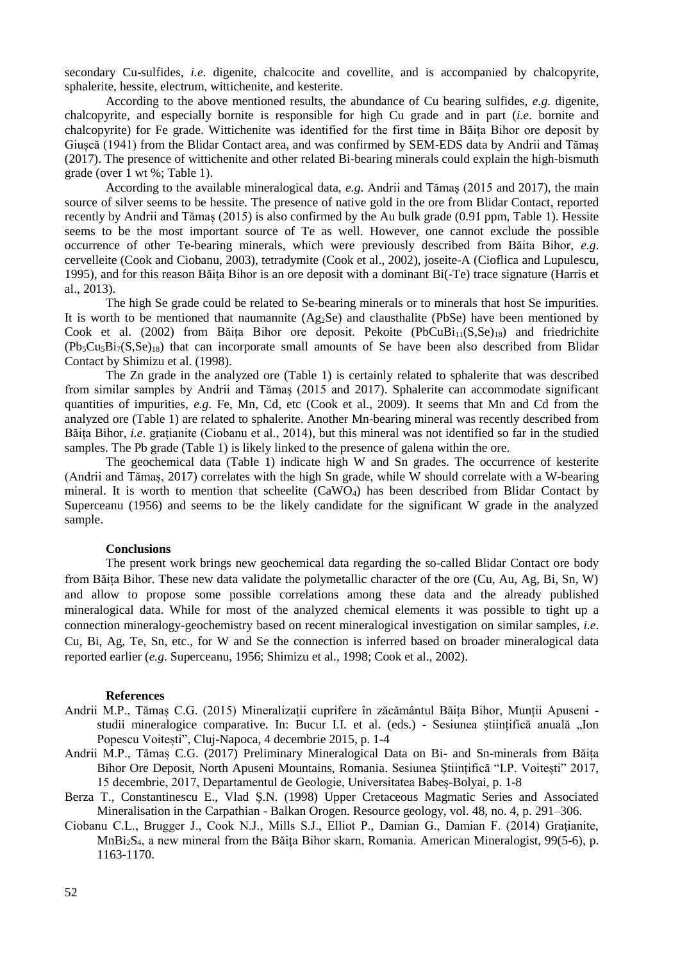secondary Cu-sulfides, *i.e*. digenite, chalcocite and covellite, and is accompanied by chalcopyrite, sphalerite, hessite, electrum, wittichenite, and kesterite.

According to the above mentioned results, the abundance of Cu bearing sulfides, *e.g.* digenite, chalcopyrite, and especially bornite is responsible for high Cu grade and in part (*i.e*. bornite and chalcopyrite) for Fe grade. Wittichenite was identified for the first time in Băița Bihor ore deposit by Giușcă (1941) from the Blidar Contact area, and was confirmed by SEM-EDS data by Andrii and Tămaș (2017). The presence of wittichenite and other related Bi-bearing minerals could explain the high-bismuth grade (over 1 wt %; Table 1).

According to the available mineralogical data, *e.g*. Andrii and Tămaș (2015 and 2017), the main source of silver seems to be hessite. The presence of native gold in the ore from Blidar Contact, reported recently by Andrii and Tămaș (2015) is also confirmed by the Au bulk grade (0.91 ppm, Table 1). Hessite seems to be the most important source of Te as well. However, one cannot exclude the possible occurrence of other Te-bearing minerals, which were previously described from Băita Bihor, *e.g*. cervelleite (Cook and Ciobanu, 2003), tetradymite (Cook et al., 2002), joseite-A (Cioflica and Lupulescu, 1995), and for this reason Băița Bihor is an ore deposit with a dominant Bi(-Te) trace signature (Harris et al., 2013).

The high Se grade could be related to Se-bearing minerals or to minerals that host Se impurities. It is worth to be mentioned that naumannite (Ag<sub>2</sub>Se) and clausthalite (PbSe) have been mentioned by Cook et al. (2002) from Băița Bihor ore deposit. Pekoite (PbCuBi<sub>11</sub>(S, Se)<sub>18</sub>) and friedrichite  $(Pb_5Cu_5Bi_7(S,Se)_{18})$  that can incorporate small amounts of Se have been also described from Blidar Contact by Shimizu et al. (1998).

The Zn grade in the analyzed ore (Table 1) is certainly related to sphalerite that was described from similar samples by Andrii and Tămaș (2015 and 2017). Sphalerite can accommodate significant quantities of impurities, *e.g*. Fe, Mn, Cd, etc (Cook et al., 2009). It seems that Mn and Cd from the analyzed ore (Table 1) are related to sphalerite. Another Mn-bearing mineral was recently described from Băița Bihor, *i.e*. grațianite (Ciobanu et al., 2014), but this mineral was not identified so far in the studied samples. The Pb grade (Table 1) is likely linked to the presence of galena within the ore.

The geochemical data (Table 1) indicate high W and Sn grades. The occurrence of kesterite (Andrii and Tămaș, 2017) correlates with the high Sn grade, while W should correlate with a W-bearing mineral. It is worth to mention that scheelite (CaWO<sub>4</sub>) has been described from Blidar Contact by Superceanu (1956) and seems to be the likely candidate for the significant W grade in the analyzed sample.

## **Conclusions**

The present work brings new geochemical data regarding the so-called Blidar Contact ore body from Băița Bihor. These new data validate the polymetallic character of the ore (Cu, Au, Ag, Bi, Sn, W) and allow to propose some possible correlations among these data and the already published mineralogical data. While for most of the analyzed chemical elements it was possible to tight up a connection mineralogy-geochemistry based on recent mineralogical investigation on similar samples, *i.e*. Cu, Bi, Ag, Te, Sn, etc., for W and Se the connection is inferred based on broader mineralogical data reported earlier (*e.g*. Superceanu, 1956; Shimizu et al., 1998; Cook et al., 2002).

#### **References**

- Andrii M.P., Tămaș C.G. (2015) Mineralizații cuprifere în zăcământul Băița Bihor, Munții Apuseni studii mineralogice comparative. In: Bucur I.I. et al. (eds.) - Sesiunea științifică anuală "Ion Popescu Voitești", Cluj-Napoca, 4 decembrie 2015, p. 1-4
- Andrii M.P., Tămaș C.G. (2017) Preliminary Mineralogical Data on Bi- and Sn-minerals from Băița Bihor Ore Deposit, North Apuseni Mountains, Romania. Sesiunea Științifică "I.P. Voitești" 2017, 15 decembrie, 2017, Departamentul de Geologie, Universitatea Babeș-Bolyai, p. 1-8
- Berza T., Constantinescu E., Vlad Ș.N. (1998) Upper Cretaceous Magmatic Series and Associated Mineralisation in the Carpathian - Balkan Orogen. Resource geology, vol. 48, no. 4, p. 291–306.
- Ciobanu C.L., Brugger J., Cook N.J., Mills S.J., Elliot P., Damian G., Damian F. (2014) Gratianite, MnBi2S4, a new mineral from the Bǎiţa Bihor skarn, Romania. American Mineralogist, 99(5-6), p. 1163-1170.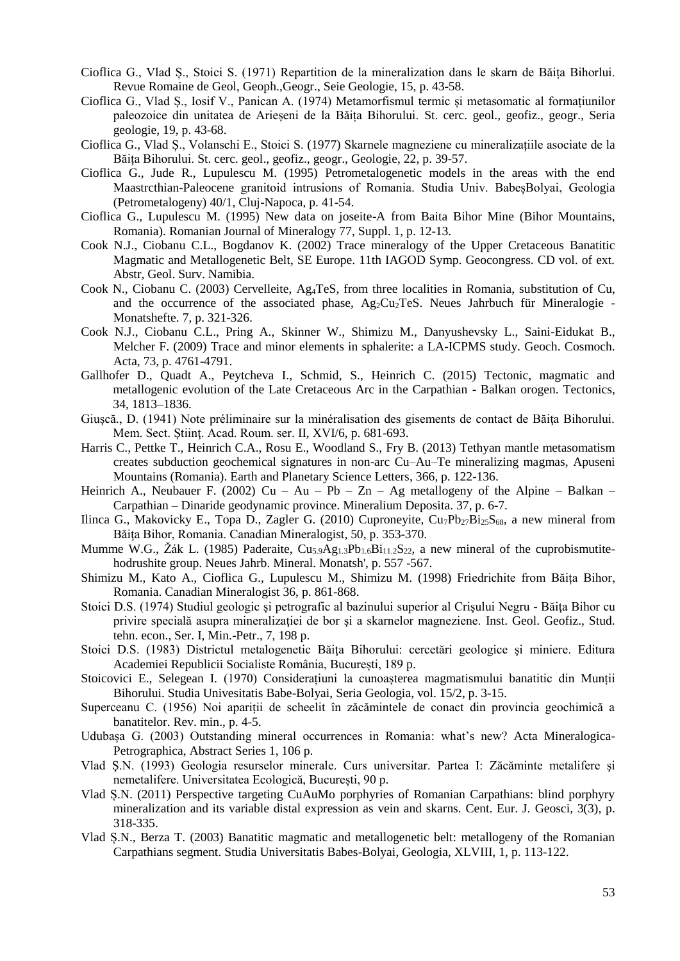- Cioflica G., Vlad Ș., Stoici S. (1971) Repartition de la mineralization dans le skarn de Băița Bihorlui. Revue Romaine de Geol, Geoph.,Geogr., Seie Geologie, 15, p. 43-58.
- Cioflica G., Vlad Ș., Iosif V., Panican A. (1974) Metamorfismul termic și metasomatic al formațiunilor paleozoice din unitatea de Arieșeni de la Băița Bihorului. St. cerc. geol., geofiz., geogr., Seria geologie, 19, p. 43-68.
- Cioflica G., Vlad Ș., Volanschi E., Stoici S. (1977) Skarnele magneziene cu mineralizațiile asociate de la Băița Bihorului. St. cerc. geol., geofiz., geogr., Geologie, 22, p. 39-57.
- Cioflica G., Jude R., Lupulescu M. (1995) Petrometalogenetic models in the areas with the end Maastrcthian-Paleocene granitoid intrusions of Romania. Studia Univ. BabeșBolyai, Geologia (Petrometalogeny) 40/1, Cluj-Napoca, p. 41-54.
- Cioflica G., Lupulescu M. (1995) New data on joseite-A from Baita Bihor Mine (Bihor Mountains, Romania). Romanian Journal of Mineralogy 77, Suppl. 1, p. 12-13.
- Cook N.J., Ciobanu C.L., Bogdanov K. (2002) Trace mineralogy of the Upper Cretaceous Banatitic Magmatic and Metallogenetic Belt, SE Europe. 11th IAGOD Symp. Geocongress. CD vol. of ext. Abstr, Geol. Surv. Namibia.
- Cook N., Ciobanu C. (2003) Cervelleite, Ag4TeS, from three localities in Romania, substitution of Cu, and the occurrence of the associated phase, Ag<sub>2</sub>Cu<sub>2</sub>TeS. Neues Jahrbuch für Mineralogie -Monatshefte. 7, p. 321-326.
- Cook N.J., Ciobanu C.L., Pring A., Skinner W., Shimizu M., Danyushevsky L., Saini-Eidukat B., Melcher F. (2009) Trace and minor elements in sphalerite: a LA-ICPMS study. Geoch. Cosmoch. Acta, 73, p. 4761-4791.
- Gallhofer D., Quadt A., Peytcheva I., Schmid, S., Heinrich C. (2015) Tectonic, magmatic and metallogenic evolution of the Late Cretaceous Arc in the Carpathian - Balkan orogen. Tectonics, 34, 1813–1836.
- Giuscă., D. (1941) Note préliminaire sur la minéralisation des gisements de contact de Băita Bihorului. Mem. Sect. Stiint. Acad. Roum. ser. II, XVI/6, p. 681-693.
- Harris C., Pettke T., Heinrich C.A., Rosu E., Woodland S., Fry B. (2013) Tethyan mantle metasomatism creates subduction geochemical signatures in non-arc Cu–Au–Te mineralizing magmas, Apuseni Mountains (Romania). Earth and Planetary Science Letters, 366, p. 122-136.
- Heinrich A., Neubauer F. (2002) Cu Au Pb Zn Ag metallogeny of the Alpine Balkan Carpathian – Dinaride geodynamic province. Mineralium Deposita. 37, p. 6-7.
- Ilinca G., Makovicky E., Topa D., Zagler G. (2010) Cuproneyite,  $Cu_7Pb_{27}Bi_{25}S_{68}$ , a new mineral from Băita Bihor, Romania. Canadian Mineralogist, 50, p. 353-370.
- Mumme W.G., Žák L. (1985) Paderaite, Cu<sub>5.9</sub>Ag<sub>1.3</sub>Pb<sub>1.6</sub>Bi<sub>11.2</sub>S<sub>22</sub>, a new mineral of the cuprobismutitehodrushite group. Neues Jahrb. Mineral. Monatsh', p. 557 -567.
- Shimizu M., Kato A., Cioflica G., Lupulescu M., Shimizu M. (1998) Friedrichite from Băița Bihor, Romania. Canadian Mineralogist 36, p. 861-868.
- Stoici D.S. (1974) Studiul geologic şi petrografic al bazinului superior al Crişului Negru Băiţa Bihor cu privire specială asupra mineralizației de bor și a skarnelor magneziene. Inst. Geol. Geofiz., Stud. tehn. econ., Ser. I, Min.-Petr., 7, 198 p.
- Stoici D.S. (1983) Districtul metalogenetic Băita Bihorului: cercetări geologice și miniere. Editura Academiei Republicii Socialiste România, București, 189 p.
- Stoicovici E., Selegean I. (1970) Considerațiuni la cunoașterea magmatismului banatitic din Munții Bihorului. Studia Univesitatis Babe-Bolyai, Seria Geologia, vol. 15/2, p. 3-15.
- Superceanu C. (1956) Noi apariții de scheelit în zăcămintele de conact din provincia geochimică a banatitelor. Rev. min., p. 4-5.
- Udubașa G. (2003) Outstanding mineral occurrences in Romania: what's new? Acta Mineralogica-Petrographica, Abstract Series 1, 106 p.
- Vlad Ş.N. (1993) Geologia resurselor minerale. Curs universitar. Partea I: Zăcăminte metalifere şi nemetalifere. Universitatea Ecologică, București, 90 p.
- Vlad Ș.N. (2011) Perspective targeting CuAuMo porphyries of Romanian Carpathians: blind porphyry mineralization and its variable distal expression as vein and skarns. Cent. Eur. J. Geosci, 3(3), p. 318-335.
- Vlad Ș.N., Berza T. (2003) Banatitic magmatic and metallogenetic belt: metallogeny of the Romanian Carpathians segment. Studia Universitatis Babes-Bolyai, Geologia, XLVIII, 1, p. 113-122.